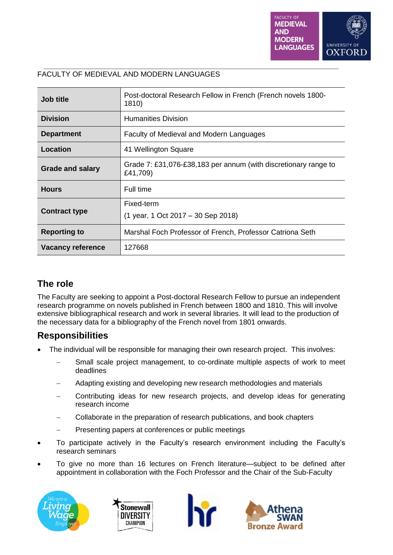

| Job title                | Post-doctoral Research Fellow in French (French novels 1800-<br>1810)       |
|--------------------------|-----------------------------------------------------------------------------|
| <b>Division</b>          | <b>Humanities Division</b>                                                  |
| <b>Department</b>        | Faculty of Medieval and Modern Languages                                    |
| Location                 | 41 Wellington Square                                                        |
| <b>Grade and salary</b>  | Grade 7: £31,076-£38,183 per annum (with discretionary range to<br>£41,709) |
| <b>Hours</b>             | Full time                                                                   |
| <b>Contract type</b>     | Fixed-term<br>(1 year, 1 Oct 2017 – 30 Sep 2018)                            |
| <b>Reporting to</b>      | Marshal Foch Professor of French, Professor Catriona Seth                   |
| <b>Vacancy reference</b> | 127668                                                                      |

### **\_\_\_\_\_\_\_\_\_\_\_\_\_\_\_\_\_\_\_\_\_\_\_\_\_\_\_\_\_\_\_\_\_\_\_\_\_\_\_\_\_\_\_\_\_\_\_\_\_\_\_\_\_\_\_\_\_\_\_\_\_\_\_\_\_\_\_\_\_\_\_\_\_** FACULTY OF MEDIEVAL AND MODERN LANGUAGES

## **The role**

The Faculty are seeking to appoint a Post-doctoral Research Fellow to pursue an independent research programme on novels published in French between 1800 and 1810. This will involve extensive bibliographical research and work in several libraries. It will lead to the production of the necessary data for a bibliography of the French novel from 1801 onwards.

## **Responsibilities**

- The individual will be responsible for managing their own research project. This involves:
	- Small scale project management, to co-ordinate multiple aspects of work to meet deadlines
	- Adapting existing and developing new research methodologies and materials
	- Contributing ideas for new research projects, and develop ideas for generating research income
	- Collaborate in the preparation of research publications, and book chapters
	- Presenting papers at conferences or public meetings
- To participate actively in the Faculty's research environment including the Faculty's research seminars
- To give no more than 16 lectures on French literature—subject to be defined after appointment in collaboration with the Foch Professor and the Chair of the Sub-Faculty







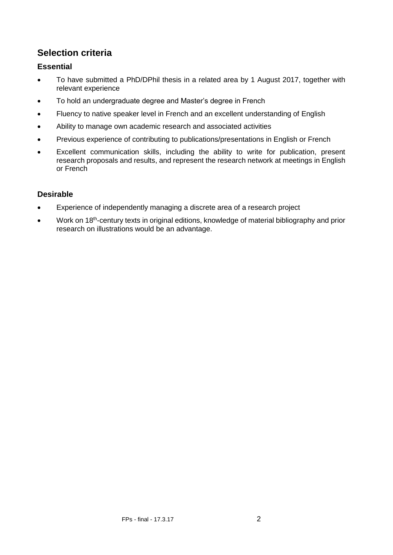# **Selection criteria**

### **Essential**

- To have submitted a PhD/DPhil thesis in a related area by 1 August 2017, together with relevant experience
- To hold an undergraduate degree and Master's degree in French
- Fluency to native speaker level in French and an excellent understanding of English
- Ability to manage own academic research and associated activities
- Previous experience of contributing to publications/presentations in English or French
- Excellent communication skills, including the ability to write for publication, present research proposals and results, and represent the research network at meetings in English or French

### **Desirable**

- Experience of independently managing a discrete area of a research project
- Work on 18<sup>th</sup>-century texts in original editions, knowledge of material bibliography and prior research on illustrations would be an advantage.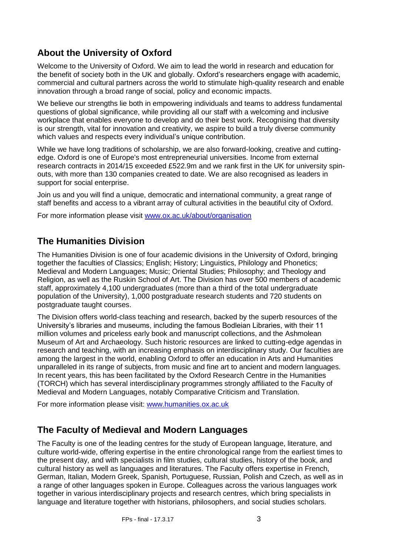# **About the University of Oxford**

Welcome to the University of Oxford. We aim to lead the world in research and education for the benefit of society both in the UK and globally. Oxford's researchers engage with academic, commercial and cultural partners across the world to stimulate high-quality research and enable innovation through a broad range of social, policy and economic impacts.

We believe our strengths lie both in empowering individuals and teams to address fundamental questions of global significance, while providing all our staff with a welcoming and inclusive workplace that enables everyone to develop and do their best work. Recognising that diversity is our strength, vital for innovation and creativity, we aspire to build a truly diverse community which values and respects every individual's unique contribution.

While we have long traditions of scholarship, we are also forward-looking, creative and cuttingedge. Oxford is one of Europe's most entrepreneurial universities. Income from external research contracts in 2014/15 exceeded £522.9m and we rank first in the UK for university spinouts, with more than 130 companies created to date. We are also recognised as leaders in support for social enterprise.

Join us and you will find a unique, democratic and international community, a great range of staff benefits and access to a vibrant array of cultural activities in the beautiful city of Oxford.

For more information please visit [www.ox.ac.uk/about/organisation](http://www.ox.ac.uk/about/organisation)

## **The Humanities Division**

The Humanities Division is one of four academic divisions in the University of Oxford, bringing together the faculties of Classics; English; History; Linguistics, Philology and Phonetics; Medieval and Modern Languages; Music; Oriental Studies; Philosophy; and Theology and Religion, as well as the Ruskin School of Art. The Division has over 500 members of academic staff, approximately 4,100 undergraduates (more than a third of the total undergraduate population of the University), 1,000 postgraduate research students and 720 students on postgraduate taught courses.

The Division offers world-class teaching and research, backed by the superb resources of the University's libraries and museums, including the famous Bodleian Libraries, with their 11 million volumes and priceless early book and manuscript collections, and the Ashmolean Museum of Art and Archaeology. Such historic resources are linked to cutting-edge agendas in research and teaching, with an increasing emphasis on interdisciplinary study. Our faculties are among the largest in the world, enabling Oxford to offer an education in Arts and Humanities unparalleled in its range of subjects, from music and fine art to ancient and modern languages. In recent years, this has been facilitated by the Oxford Research Centre in the Humanities (TORCH) which has several interdisciplinary programmes strongly affiliated to the Faculty of Medieval and Modern Languages, notably Comparative Criticism and Translation.

For more information please visit: [www.humanities.ox.ac.uk](http://www.humanities.ox.ac.uk/)

## **The Faculty of Medieval and Modern Languages**

The Faculty is one of the leading centres for the study of European language, literature, and culture world-wide, offering expertise in the entire chronological range from the earliest times to the present day, and with specialists in film studies, cultural studies, history of the book, and cultural history as well as languages and literatures. The Faculty offers expertise in French, German, Italian, Modern Greek, Spanish, Portuguese, Russian, Polish and Czech, as well as in a range of other languages spoken in Europe. Colleagues across the various languages work together in various interdisciplinary projects and research centres, which bring specialists in language and literature together with historians, philosophers, and social studies scholars.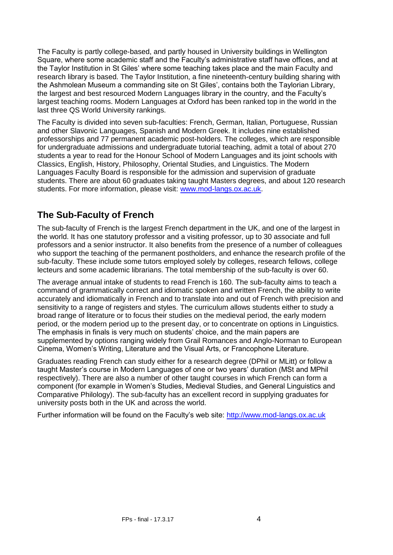The Faculty is partly college-based, and partly housed in University buildings in Wellington Square, where some academic staff and the Faculty's administrative staff have offices, and at the Taylor Institution in St Giles' where some teaching takes place and the main Faculty and research library is based. The Taylor Institution, a fine nineteenth-century building sharing with the Ashmolean Museum a commanding site on St Giles', contains both the Taylorian Library, the largest and best resourced Modern Languages library in the country, and the Faculty's largest teaching rooms. Modern Languages at Oxford has been ranked top in the world in the last three QS World University rankings.

The Faculty is divided into seven sub-faculties: French, German, Italian, Portuguese, Russian and other Slavonic Languages, Spanish and Modern Greek. It includes nine established professorships and 77 permanent academic post-holders. The colleges, which are responsible for undergraduate admissions and undergraduate tutorial teaching, admit a total of about 270 students a year to read for the Honour School of Modern Languages and its joint schools with Classics, English, History, Philosophy, Oriental Studies, and Linguistics. The Modern Languages Faculty Board is responsible for the admission and supervision of graduate students. There are about 60 graduates taking taught Masters degrees, and about 120 research students. For more information, please visit: [www.mod-langs.ox.ac.uk.](http://www.mod-langs.ox.ac.uk/)

# **The Sub-Faculty of French**

The sub-faculty of French is the largest French department in the UK, and one of the largest in the world. It has one statutory professor and a visiting professor, up to 30 associate and full professors and a senior instructor. It also benefits from the presence of a number of colleagues who support the teaching of the permanent postholders, and enhance the research profile of the sub-faculty. These include some tutors employed solely by colleges, research fellows, college lecteurs and some academic librarians. The total membership of the sub-faculty is over 60.

The average annual intake of students to read French is 160. The sub-faculty aims to teach a command of grammatically correct and idiomatic spoken and written French, the ability to write accurately and idiomatically in French and to translate into and out of French with precision and sensitivity to a range of registers and styles. The curriculum allows students either to study a broad range of literature or to focus their studies on the medieval period, the early modern period, or the modern period up to the present day, or to concentrate on options in Linguistics. The emphasis in finals is very much on students' choice, and the main papers are supplemented by options ranging widely from Grail Romances and Anglo-Norman to European Cinema, Women's Writing, Literature and the Visual Arts, or Francophone Literature.

Graduates reading French can study either for a research degree (DPhil or MLitt) or follow a taught Master's course in Modern Languages of one or two years' duration (MSt and MPhil respectively). There are also a number of other taught courses in which French can form a component (for example in Women's Studies, Medieval Studies, and General Linguistics and Comparative Philology). The sub-faculty has an excellent record in supplying graduates for university posts both in the UK and across the world.

Further information will be found on the Faculty's web site: [http://www.mod-langs.ox.ac.uk](http://www.mod-langs.ox.ac.uk/)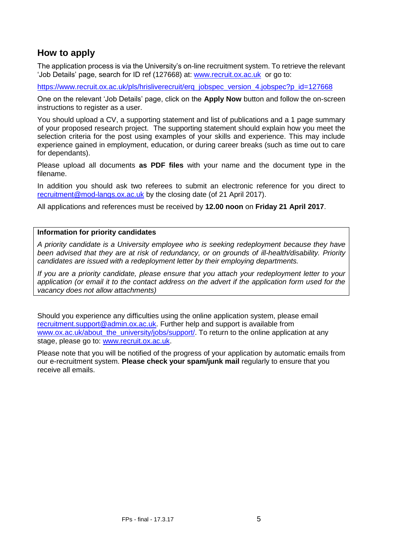## **How to apply**

The application process is via the University's on-line recruitment system. To retrieve the relevant 'Job Details' page, search for ID ref (127668) at: [www.recruit.ox.ac.uk](http://www.recruit.ox.ac.uk/) or go to:

https://www.recruit.ox.ac.uk/pls/hrisliverecruit/erg\_jobspec\_version\_4.jobspec?p\_id=127668

One on the relevant 'Job Details' page, click on the **Apply Now** button and follow the on-screen instructions to register as a user.

You should upload a CV, a supporting statement and list of publications and a 1 page summary of your proposed research project.The supporting statement should explain how you meet the selection criteria for the post using examples of your skills and experience. This may include experience gained in employment, education, or during career breaks (such as time out to care for dependants).

Please upload all documents **as PDF files** with your name and the document type in the filename.

In addition you should ask two referees to submit an electronic reference for you direct to [recruitment@mod-langs.ox.ac.uk](mailto:recruitment@mod-langs.ox.ac.uk) by the closing date (of 21 April 2017).

All applications and references must be received by **12.00 noon** on **Friday 21 April 2017**.

### **Information for priority candidates**

*A priority candidate is a University employee who is seeking redeployment because they have been advised that they are at risk of redundancy, or on grounds of ill-health/disability. Priority candidates are issued with a redeployment letter by their employing departments.*

*If you are a priority candidate, please ensure that you attach your redeployment letter to your application (or email it to the contact address on the advert if the application form used for the vacancy does not allow attachments)* 

Should you experience any difficulties using the online application system, please email [recruitment.support@admin.ox.ac.uk.](mailto:recruitment.support@admin.ox.ac.uk) Further help and support is available from [www.ox.ac.uk/about\\_the\\_university/jobs/support/.](http://www.ox.ac.uk/about_the_university/jobs/support/) To return to the online application at any stage, please go to: [www.recruit.ox.ac.uk.](http://www.recruit.ox.ac.uk/)

Please note that you will be notified of the progress of your application by automatic emails from our e-recruitment system. **Please check your spam/junk mail** regularly to ensure that you receive all emails.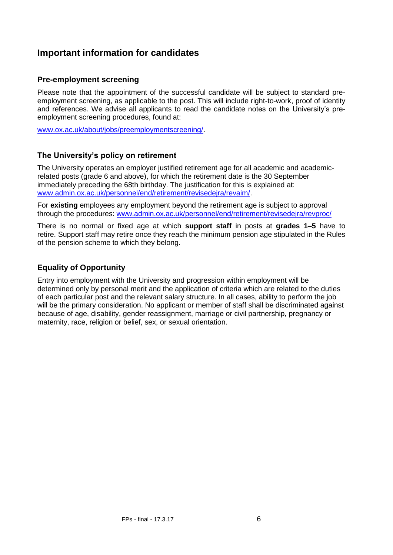## **Important information for candidates**

### **Pre-employment screening**

Please note that the appointment of the successful candidate will be subject to standard preemployment screening, as applicable to the post. This will include right-to-work, proof of identity and references. We advise all applicants to read the candidate notes on the University's preemployment screening procedures, found at:

[www.ox.ac.uk/about/jobs/preemploymentscreening/.](http://www.ox.ac.uk/about/jobs/preemploymentscreening/)

### **The University's policy on retirement**

The University operates an employer justified retirement age for all academic and academicrelated posts (grade 6 and above), for which the retirement date is the 30 September immediately preceding the 68th birthday. The justification for this is explained at: [www.admin.ox.ac.uk/personnel/end/retirement/revisedejra/revaim/.](http://www.admin.ox.ac.uk/personnel/end/retirement/revisedejra/revaim/)

For **existing** employees any employment beyond the retirement age is subject to approval through the procedures: [www.admin.ox.ac.uk/personnel/end/retirement/revisedejra/revproc/](http://www.admin.ox.ac.uk/personnel/end/retirement/revisedejra/revproc/)

There is no normal or fixed age at which **support staff** in posts at **grades 1–5** have to retire. Support staff may retire once they reach the minimum pension age stipulated in the Rules of the pension scheme to which they belong.

### **Equality of Opportunity**

Entry into employment with the University and progression within employment will be determined only by personal merit and the application of criteria which are related to the duties of each particular post and the relevant salary structure. In all cases, ability to perform the job will be the primary consideration. No applicant or member of staff shall be discriminated against because of age, disability, gender reassignment, marriage or civil partnership, pregnancy or maternity, race, religion or belief, sex, or sexual orientation.